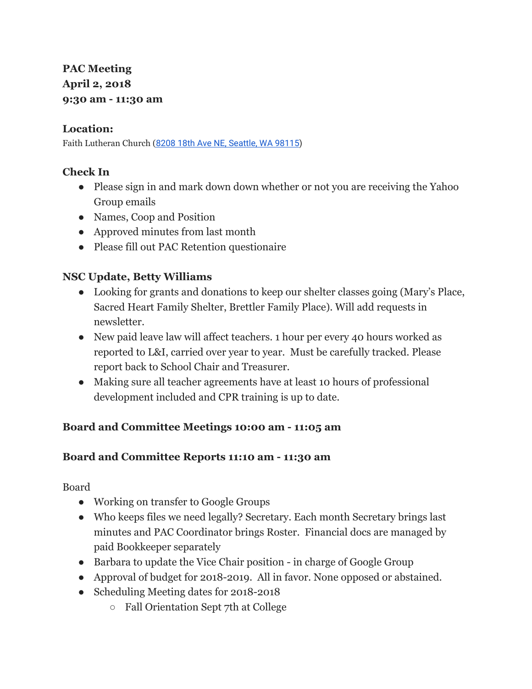# **PAC Meeting April 2, 2018 9:30 am - 11:30 am**

### **Location:**

Faith Lutheran Church (8208 18th Ave NE, [Seattle,](https://maps.google.com/?q=8208+18th+Ave+NE,+Seattle,+WA+98115&entry=gmail&source=g) WA 98115)

## **Check In**

- Please sign in and mark down down whether or not you are receiving the Yahoo Group emails
- Names, Coop and Position
- Approved minutes from last month
- Please fill out PAC Retention questionaire

## **NSC Update, Betty Williams**

- Looking for grants and donations to keep our shelter classes going (Mary's Place, Sacred Heart Family Shelter, Brettler Family Place). Will add requests in newsletter.
- New paid leave law will affect teachers. 1 hour per every 40 hours worked as reported to L&I, carried over year to year. Must be carefully tracked. Please report back to School Chair and Treasurer.
- Making sure all teacher agreements have at least 10 hours of professional development included and CPR training is up to date.

### **Board and Committee Meetings 10:00 am - 11:05 am**

### **Board and Committee Reports 11:10 am - 11:30 am**

Board

- Working on transfer to Google Groups
- Who keeps files we need legally? Secretary. Each month Secretary brings last minutes and PAC Coordinator brings Roster. Financial docs are managed by paid Bookkeeper separately
- Barbara to update the Vice Chair position in charge of Google Group
- Approval of budget for 2018-2019. All in favor. None opposed or abstained.
- Scheduling Meeting dates for 2018-2018
	- Fall Orientation Sept 7th at College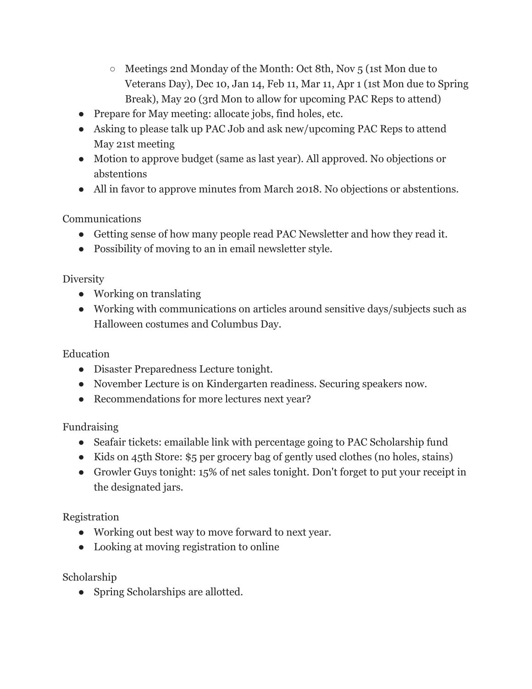- Meetings 2nd Monday of the Month: Oct 8th, Nov 5 (1st Mon due to Veterans Day), Dec 10, Jan 14, Feb 11, Mar 11, Apr 1 (1st Mon due to Spring Break), May 20 (3rd Mon to allow for upcoming PAC Reps to attend)
- Prepare for May meeting: allocate jobs, find holes, etc.
- Asking to please talk up PAC Job and ask new/upcoming PAC Reps to attend May 21st meeting
- Motion to approve budget (same as last year). All approved. No objections or abstentions
- All in favor to approve minutes from March 2018. No objections or abstentions.

Communications

- Getting sense of how many people read PAC Newsletter and how they read it.
- Possibility of moving to an in email newsletter style.

**Diversity** 

- Working on translating
- Working with communications on articles around sensitive days/subjects such as Halloween costumes and Columbus Day.

Education

- Disaster Preparedness Lecture tonight.
- November Lecture is on Kindergarten readiness. Securing speakers now.
- Recommendations for more lectures next year?

Fundraising

- Seafair tickets: emailable link with percentage going to PAC Scholarship fund
- Kids on 45th Store: \$5 per grocery bag of gently used clothes (no holes, stains)
- Growler Guys tonight: 15% of net sales tonight. Don't forget to put your receipt in the designated jars.

Registration

- Working out best way to move forward to next year.
- Looking at moving registration to online

Scholarship

• Spring Scholarships are allotted.